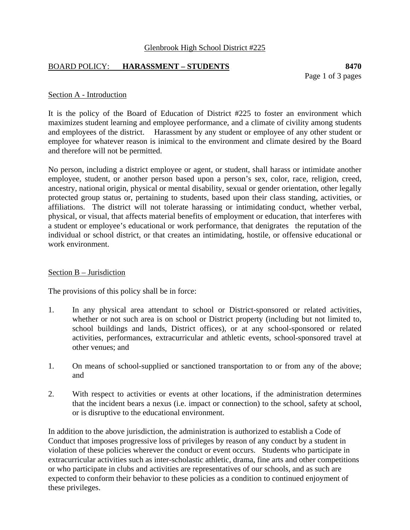### Glenbrook High School District #225

## BOARD POLICY: **HARASSMENT – STUDENTS 8470**

Page 1 of 3 pages

#### Section A - Introduction

It is the policy of the Board of Education of District #225 to foster an environment which maximizes student learning and employee performance, and a climate of civility among students and employees of the district. Harassment by any student or employee of any other student or employee for whatever reason is inimical to the environment and climate desired by the Board and therefore will not be permitted.

No person, including a district employee or agent, or student, shall harass or intimidate another employee, student, or another person based upon a person's sex, color, race, religion, creed, ancestry, national origin, physical or mental disability, sexual or gender orientation, other legally protected group status or, pertaining to students, based upon their class standing, activities, or affiliations. The district will not tolerate harassing or intimidating conduct, whether verbal, physical, or visual, that affects material benefits of employment or education, that interferes with a student or employee's educational or work performance, that denigrates the reputation of the individual or school district, or that creates an intimidating, hostile, or offensive educational or work environment.

### Section B – Jurisdiction

The provisions of this policy shall be in force:

- 1. In any physical area attendant to school or District-sponsored or related activities, whether or not such area is on school or District property (including but not limited to, school buildings and lands, District offices), or at any school-sponsored or related activities, performances, extracurricular and athletic events, school-sponsored travel at other venues; and
- 1. On means of school-supplied or sanctioned transportation to or from any of the above; and
- 2. With respect to activities or events at other locations, if the administration determines that the incident bears a nexus (i.e. impact or connection) to the school, safety at school, or is disruptive to the educational environment.

In addition to the above jurisdiction, the administration is authorized to establish a Code of Conduct that imposes progressive loss of privileges by reason of any conduct by a student in violation of these policies wherever the conduct or event occurs. Students who participate in extracurricular activities such as inter-scholastic athletic, drama, fine arts and other competitions or who participate in clubs and activities are representatives of our schools, and as such are expected to conform their behavior to these policies as a condition to continued enjoyment of these privileges.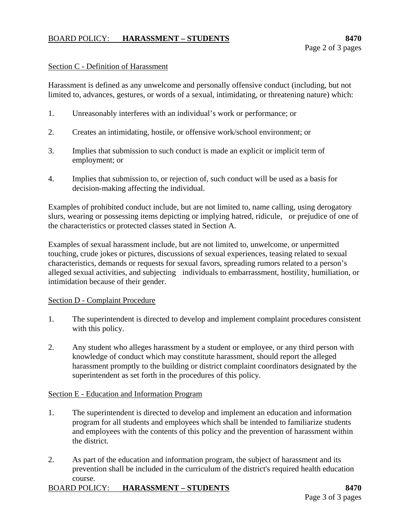# BOARD POLICY: **HARASSMENT – STUDENTS 8470**

#### Section C - Definition of Harassment

Harassment is defined as any unwelcome and personally offensive conduct (including, but not limited to, advances, gestures, or words of a sexual, intimidating, or threatening nature) which:

- 1. Unreasonably interferes with an individual's work or performance; or
- 2. Creates an intimidating, hostile, or offensive work/school environment; or
- 3. Implies that submission to such conduct is made an explicit or implicit term of employment; or
- 4. Implies that submission to, or rejection of, such conduct will be used as a basis for decision-making affecting the individual.

Examples of prohibited conduct include, but are not limited to, name calling, using derogatory slurs, wearing or possessing items depicting or implying hatred, ridicule, or prejudice of one of the characteristics or protected classes stated in Section A.

Examples of sexual harassment include, but are not limited to, unwelcome, or unpermitted touching, crude jokes or pictures, discussions of sexual experiences, teasing related to sexual characteristics, demands or requests for sexual favors, spreading rumors related to a person's alleged sexual activities, and subjecting individuals to embarrassment, hostility, humiliation, or intimidation because of their gender.

### Section D - Complaint Procedure

- 1. The superintendent is directed to develop and implement complaint procedures consistent with this policy.
- 2. Any student who alleges harassment by a student or employee, or any third person with knowledge of conduct which may constitute harassment, should report the alleged harassment promptly to the building or district complaint coordinators designated by the superintendent as set forth in the procedures of this policy.

### Section E - Education and Information Program

- 1. The superintendent is directed to develop and implement an education and information program for all students and employees which shall be intended to familiarize students and employees with the contents of this policy and the prevention of harassment within the district.
- 2. As part of the education and information program, the subject of harassment and its prevention shall be included in the curriculum of the district's required health education course.

# BOARD POLICY: **HARASSMENT – STUDENTS** 8470